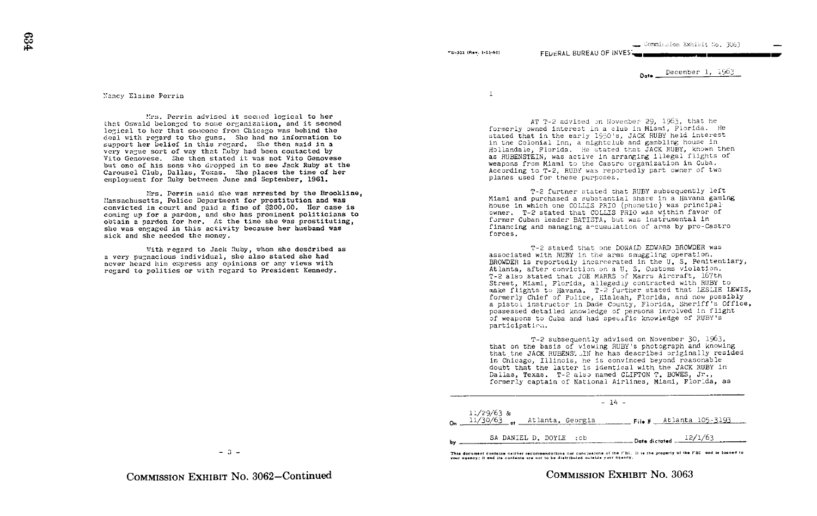#### vD-302 (Rev. 1-25-60)

December 1, 1963

Do .

#### Nancy Elaine Perrin

that Oswald belonged to some organization, and it seemed . Perrin advised it secned logical to her logical to her that someone from Chicago was behind the deal with regard to the guns. She had no information to support her belief in this regard. She then said in a very vague sort of way that Ruby had been contacted by Vito Genovese. She then stated it was not Vito Genovese but one of his sons who dropped in to see Jack Ruby at the Carousel Club, Dallas, Texas. She places the time of her employment for Ruby between June and September, 1961.

Mrs. Perrin said she was arrested by the Brookline. 11assachusetts, Police Department for prostitution and was convicted in court and paid <sup>a</sup> fine of \$200 .00. Her case is coming up for a pardon, and she has prominent politicians to obtain a pardon for her. At the time she was prostituting, she was engaged in this activity because her husband was sick and she needed the money.

With regard to Jack Ruby, whom she desdribed as a very pugnacious individual, she also stated she had never heard him express any opinions or any views with regard to politics or with regard to President Kennedy .

 $\mathbf{1}$ 

AT T-2 advised on November 29, 1963, that he formerly owned interest in a club in Miami, Florida. He stated that in the early 1950's, JACK RUBY held interest in the Colonial Inn, a nightclub and gambling house in Hollandale, Florida. He stated that JACK RUBY, known then as RUBENSTEIN, was active in arranging Illegal flights of weapons from Miami to the Castro organization in Cuba. According to T-2, RUBY was reportedly part owner of two planes used for these purposes .

FFUERAL BUREAU OF INVES

T-2 further stated that RUBY subsequently left Miami and purchased a substantial share In a Havana gaming house in which one COLLIS TRIO (Phonetic) was principal owner. T-2 stated that COLLIS FRIO was within favor of former Cuban leader BATISTA, but was instrumental In financing and managing a-cumulation of arms by pro-Castro forces

T-2 stated that one DONALD EDWARD BROWDER was associated with RUBY in the arms smuggling operation. BROWDER is reportedly incarcerated in the U.S. Penitentiary, Atlanta, after conviction on a U. S. Customs violation. T-2 also stated that JOE MARRS of Marra Aircraft, 167th Street, Miami, Florida, allegediy contracted with RUBY to make flights to Havana. T-2 further stated that LESLIE LEWIS, formerly Chief of Police, Eialeah, Florida, and now possibly a pistol instructor in Dade County, Florida, Sheriff's Office, possessed detailed knowledge of persons involved in flight of weapons to Cuba and had specific knowledge of RUBY's participation.

T-2 subsequently advised on November 30, 1963, that on the basis of viewing RUBY's photograph and knowing that the JACK RUBENS.-IN he has described originally resided in Chicago, Illinois, he is convinced beyond reasonable doubt that the latter is identical with the JACK RUBY in Dallas, Texas. T-2 also named CLIFTON T. BOWES, Jr., formerly captain of National Airlines, Miami, Florida, as

| $-14 -$                                                                                   |
|-------------------------------------------------------------------------------------------|
| 11/29/63 &<br>11/3 <u>0/63 <sub>of</sub> Atlanta, Georgia — File # Atlanta 105-3193 .</u> |
| SA DANIEL D. DOYLE :cb<br>$\frac{12}{1/63}$ Date dictated $\frac{12}{1/63}$               |

This document contains neither recommendations not conclusions of the FBI. It is the property of the FBI and is loaned to<br>your gaency: it and its contents are not to be distributed outside your agency.

 $-3-$ 

COMMISSION EXHIBIT NO. 3063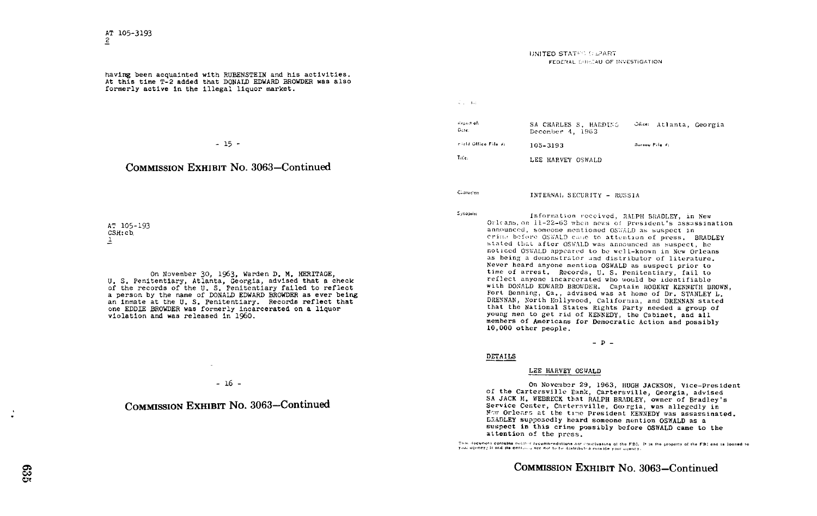having been acquainted with RUBENSTEIN and his activities . At this time T-2 added that DONALD EDWARD BROWDER was also formerly active in the illegal liquor market .

#### - 15 -

### COMMISSION EXHIBIT No. 3063-Continued

AT 105-193 CSH:cb, 1

On November 30, 1963, Warden D. M. HERITAGE, U. S. Penitentiary, Atlanta, Georgia, advised that a check of the records of the U. S. Penitentiary failed to reflect a person by the name of DONALD EDWARD BROWDER as ever being an inmate at the U. S. Penitentiary. Records reflect that one EDDIE BROWDER was formerly incarcerated on a liquor violation and was released in 1960 .

 $-16 -$ 

# COMMISSION EXHIBIT No. 3063-Continued

#### UNITED STATI^ . .\_'ART **FEDERAL CUREAU OF INVESTIGATION**

Allen Bar

| nezest of:<br>Date:  | SA CHARLES S. HARDING<br>December 4, 1963 |                | Jake: Atlanta, Georgia |  |
|----------------------|-------------------------------------------|----------------|------------------------|--|
| ricld Office File X: | 105-3193                                  | Buroau File K: |                        |  |
| Title:               | LEE HARVEY OSWALD                         |                |                        |  |

INTERNAL SECURITY - RUSSIA

Clarecters

Synopsis:

Information received, RALPH BRADLEY, in New Orleans, on  $11-22-63$  when news of President's assassination announced, someone mentioned OSWALD as suspect in crime before OSWALD came to attention of press. BRADLEY stated that after OSWALD was announced as suspect, he noticed OSWALD appeared to be well-known in New Orleans as being a demonstrator and distributor of literature. Never heard anyone mention OSWALD as suspect prior to time of arrest. Records, U. S. Penitentiary, fail to reflect anyone incarcerated who would be identifiable with DONALD EDWARD BROWDER. Captain ROBERT KENNETH BROWN, Fort Benning, Ga., advised was at home of Dr. STANLEY L. DRENNAN, North Hollywood, California, and DRENNAN stated that the National States Rights Party needed <sup>a</sup> group of young men to get rid of KENNEDY, the Cabinet, and all members of Americans for Democratic Action and possibly 10,000 other people .

 $p -$ 

#### DETAILS

#### LEE HARVEY OSWALD

On November 29, 1963, HUGH JACKSON, Vice-President of the Cartersville Eank, Cartersville, Georgia, advised SA JACK M. WEBRECK that RALPH BRADLEY, owner of Bradley's Service Center, Cartersville, Gorgia, was allegedly in Now Orlears at the time President KENNEDY was assassinated. LRADLEY supposedly heard someone mention OSWALD as <sup>a</sup> suspect in this crime possibly before OSWALD came to the attention of the press.<br>This decument contains method recommendations not conclusions of the PBI. It is the property of the PBI and is loaned to

your unemer; it and its contours are not to be distributed catalog your unemey.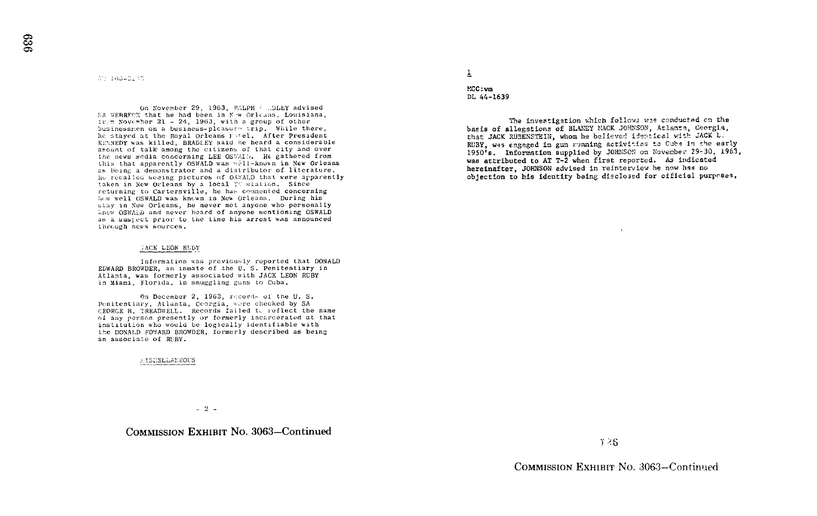$A'$ : 105-3103

On November 29, 1963, PALPH / .DLEY advised SA WEBRECK that he had been in N w Orleans, Louisiana,  $1v$ . November 21 - 24, 1963, with a group of other businessren on a business-plcasure trip. While there, he stayed at the Royal Orleans Fitel. After President KENNEDY was killed, BRADLEY said he heard a considerable anount of talk among the citizens of that city and over the news media concerning LEE OSWAID. He gathered from this that apparently OSWALD was well-known in New Orleans as being a demonstrator and a distributor of literature. He recalled seeing pictures of OSWALD that were apparently taken in New Orleans by a local TV station. Since returning to Cartersville, he has compenied concerning<br>returning to Cartersville, he has compenied concerning how well OSWALD was known in New Orleans. During his stay in New Orleans, he never met anyone who personally hnew OSWAla) and never heard of anyone mentioning OSWALD as a suspect prior to the time his arrest was announced through news sources.

#### JACK LEON RUBY

Information was previously reported that DONALD EDWARD BRO'WDER, an inmate of the U. S. Penitentiary in Atlanta, was formerly associated with JACK LEON RUBY in Miami, Florida, in smuggling guns to Cuba .

On December 2, 1963, records of the U.S.<br>Penitentiary, Atlanta, Ceorgia, were checked by SA Penitentiary, Atlanta, Georgia, were checked by SA<br>(EORGE H. TREADWELL. Records failed t, reflect the name<br>(EORGE H. TREADWELL. Records failed to reflect the name of any person presently or formerly incarcerated at that institution who would be logically identifiable with the DONALD FDYARD BROWDER, formerly described as being an associate of RUBY.

-1 ;;ELLn, :EOLS

 $\overline{1}$ MCC:vm

DL 44-1639

The investigation which follows was conducted on the basis of allegationz of BLANEY MACK JOHNSON, Atlanta, Georgia, that JACK RUBENSTEIN, whom he believed identical with JACK L. RUBY, was engaged in gun running sctivities to Cubs in the early 1950's. Information supplied by JOHNSON on November 29-30, 1963, was attributed to AT T-2 when first reported. As indicated hereinafter, JOHNSON advised in reinterview he now has no objection to his identity being dieclo3sd for official purprses,

 $-2$  -

### COMMISSION EXHIBIT No. 3063-Continued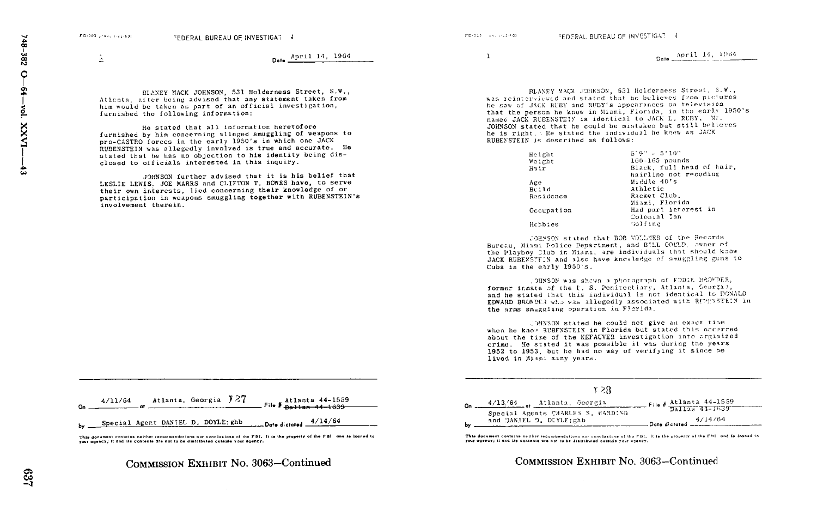FD-203 Univ. 1-25-603

Dote April 14, 1964

BLANEY MACK JOHNSON, 531 Holderness Street, S.W., Atlanta, after being advised that any statement taken from him would be taken as part of an official investigation, furnished the following information

He stated that all information heretofore furnished by him concerning alleged smuggling of weapons to pro-CASTRO forces in the early 1950's in which one JACK RUBENSTEIN was allegedly involved is true and accurate. He stated that he has no objection to his identity being disclosed to officials interested in this inquiry.

JOHNSON further advised that it is his belief that LESLIE LEWIS. JOE MARRS and CLIFTON T. BOWES have, to serve their own interests, lied concerning their knowledge of or participation in weapons smuggling together with RUBENSTEIN's involvement therein.

<sup>1</sup> April 14, 1964

BLANEY MACK JOHNSON, 531 Holderness Street, S.W., was reinterviewed and stated that he believes from pictures he sav: of JACK RLBY and RUDY's appearances on television that the person he knew in Miami, Florida, in the early 1950's nameo JACK RUBENSTEIN is identical to JACK L. RUBY. Mr. JOHNSON stated that he could be mistaken but still believes he is right. WHe stated the individual he knew as JACK RUBEFSTEIN is described as follows:

| Height<br>Weight<br>Hair | $5.9" - 5'10"$<br>$160 - 165$ pounds<br>Black, full head of hair,<br>hairline not receding |
|--------------------------|--------------------------------------------------------------------------------------------|
| Age                      | Middle 40's                                                                                |
| Brild                    | Athletic                                                                                   |
| Residence                | Racket Club.<br>Miami, Florida                                                             |
| Occupation               | Had part interest in<br>Colonial Inn                                                       |
| Hrtb:es                  | Golfine                                                                                    |

.:OHMSON stated that BOB CO\_:.'!E6 of the Records Bureau, Miami Police Department, and BILL COULD, owner of the Playboy Club in Mismi, are individuals that should know JACK RUBENSTE N and also have knowledge of smuggling guns to Cuba in the early 1950's.

: OHNSON was shown a photograph of FODIE RROWDER, former inmate of the U.S. Penitentiary, Atlanta, Seorgia, and he stated that this individual is not identical to DONALD EDWARD BROWDER who was allegedly associated with RIPENSTEIN in the arms smuggling operation in Florida.

.'0HNSON stated he could not give an exact time when he knee RUBFNSTEIN in Florida but stated this occurred about the time of the KEFALVER investigation into arganized of 1952 to 1953, but he had no way of verifying it since he crime. He stated it was possible it was during the years lived in Miasi sany years.

|    | 1 2.R                                                           |                           |
|----|-----------------------------------------------------------------|---------------------------|
| n. | 4/13/64 . Atlanta, Georgia<br>Special Agents CHARLES S. HARDING | File # $Atlanta$ 44-1559  |
|    | and DANIEL D. DUYLE:ghb                                         | . Date dictated $4/14/64$ |

This document contains neither recommendations nor conclusions of the FBI. It is the property of the FBI and in loaned to<br>your agency; it and its contents are not to be distributed outside your agency.

COMMISSION EXHIBIT NO. 3063-Continued

| 4/11/64                            | Atlanta, Georgia 727 | Atlanta 44-1559<br>File # pallas 44-1639 |  |
|------------------------------------|----------------------|------------------------------------------|--|
| Special Agent DANIEL D. DOYLE: ghb |                      | $\frac{4}{14/64}$                        |  |

This document contains neither recommendations nor conclusions of the FBI. It is the property of the FBI and is loaned to your agency; it and the contents are not to be distributed outside your agency.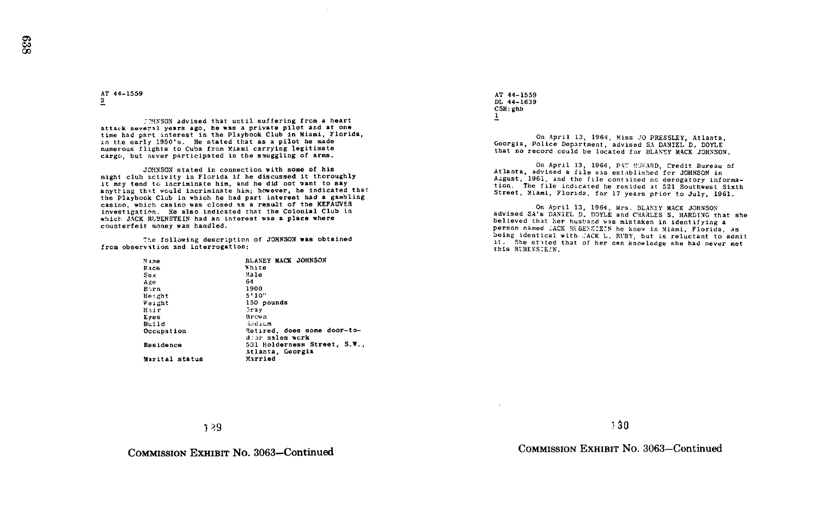AT 44-1559

:?HNSON advised that until suffering from A heart attack several years ago, he was a private pilot and at one time had part interest in the Playbook Club in Miami, Florida, in the early 1950's. He stated that as a pilot he made numerous flights to Cuba from Miami carrying legitimate cargo, but never participated in the snuggling of arms .

JOHNSON stated in connection with some of his night club activity in Florida if he discussed it thoroughly it mzy tend to incriminate him, and he did not want to say anytting that would incriminate him; however, he indicated that the Playbook Club in which he had part interest had a gambling casino, which casino was closed as a result of the AEFAUVER<br>investigation. He also indicated that the Colonial Club in casino, which casino was closed as a result of the KEFACVEa which JACK RUBENSTEIN had an interest was a place where counterfeit money was handled.

The following description of JOHNSON was obtained from observation and interrogation

| Name           | BLANEY MACK JOHNSON          |
|----------------|------------------------------|
| Race           | White                        |
| Sex            | Male                         |
| Aze            | 64                           |
| <b>B</b> orn   | 1900                         |
| Height         | 5'10''                       |
| Weight         | 150 pounds                   |
| Hair           | $3 - 2y$                     |
| Eves           | Brown                        |
| Build          | Sedium                       |
| Occupation     | Retired, does some door-to-  |
|                | door sales work              |
| Residence      | 531 Holderness Street, S.W., |
|                | Atlanta, Georgia             |
| Marital status | Married                      |
|                |                              |

AT 44-1559 DL 44-1639  $\frac{CSH}{1}$ : ghb

On April 13, 1964, Miss JO PRESSLEY, Atlanta, Georgia, Police Department, advised SA DANIEL D. DOYLE that no record could be located for BLANEY MACK JOHNSON.

On April 13, 1964, PAT HOWARD, Credit Bureau of Atlanta, advised a file was established for JOHNSON in August, 1961, and the file contained no derogatory information. The file indicated he resided at 521 Southwest Sixth Street, Miami, Florida., for 17 years prior to July, 1961.

On April 13, 1964, Mrs. BLANEY MACK JOHNSON advised SA's DANIEL D. DOYLE and CHARLES S. HARDING that she believed that her husband was mistaken in identifying <sup>a</sup> person named .ACK RIBENSIEIN he knew in Miami, Florida, as being identical with ... ACK L. RUBY, but is reluctant to admit it. She stated that of her own knowledge she had never met this RUBENSTEIN.

y9

COMMISSION EXHIBIT No. 3063-Continued

n 30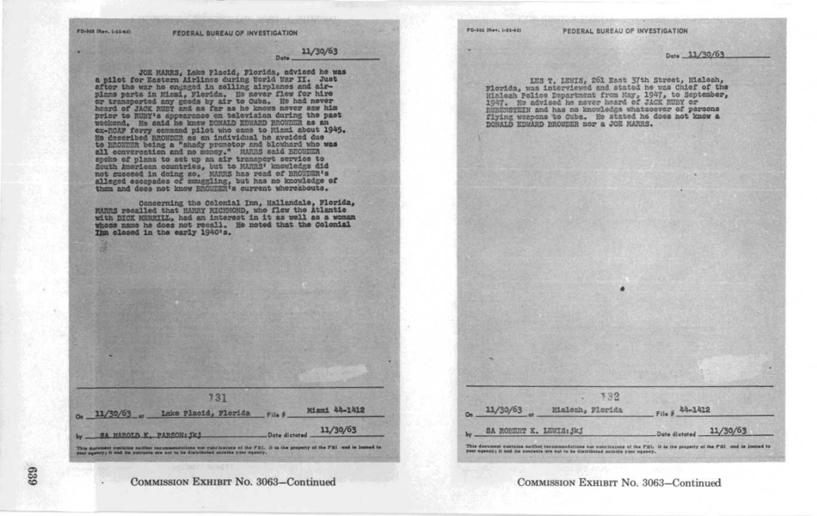11/30/63 Date \_

JOE MANRS, Lake Placid, Plorida, advised he was<br>after Hr. Just for Hastern Afrilhos during borid Kar II. Just<br>planes and air-plane parts in Missi, plorida. Be never from the<br>planes parts in Missi, plorida. Be never then fo prior to RUBY's appearance on television during the past weckend. He said he knew DONALD EDWARD BROWDER as an ex-ROAF forry command pilot who came to Miami about 1945. Es described BROWDER as an individual he avoided due to BROWDER being a "shady promotor and blowhard who was all convergation and no money." MARES said BROWDER spoke of plans to set up an air transport service to South American countries, but to MARRS' knowledge did not succeed in doing so. MARRS has read of BROWDER's alleged escapades of mmsgling, but has no knowledge of them and does not know BROMDER's current whereabouts.

Concerning the Colonial Inn, Hallandale, Florida,<br>MARES recalled that HARRY RICHSOND, who flew the Atlantic with DICK MERRILL, had an interest in it as well as a woman whose name he does not recall. He noted that the Colonial Inn closed in the early 1940's.

731 Miami 44-1412  $n = 11/30/63$ Lake Placid, Florida 11/30/63 Date dictated This decument contains naither recommendations our cunciliation of the FBI. It is the property of the FBI and is looned to

PD-305 (Rev. 1-81-40)

Dute 11/30/63

LES T. LEWIS, 261 East 37th Street, Hieleah, Florida, was interviewed and stated he was Chief of the Hialcah Police Department from May, 1947, to September, 1947. He advised he never heard of JACK RUBY or RUBENSTEIN and has no knowledge whatsoever of persons flying weapons to Ouba. He stated he does not know a DONALD EDWARD BROWDER nor a JOE MARRS.

|          | 132              |                |
|----------|------------------|----------------|
| 11/30/63 | Hialesh, Florida | File # 44-1412 |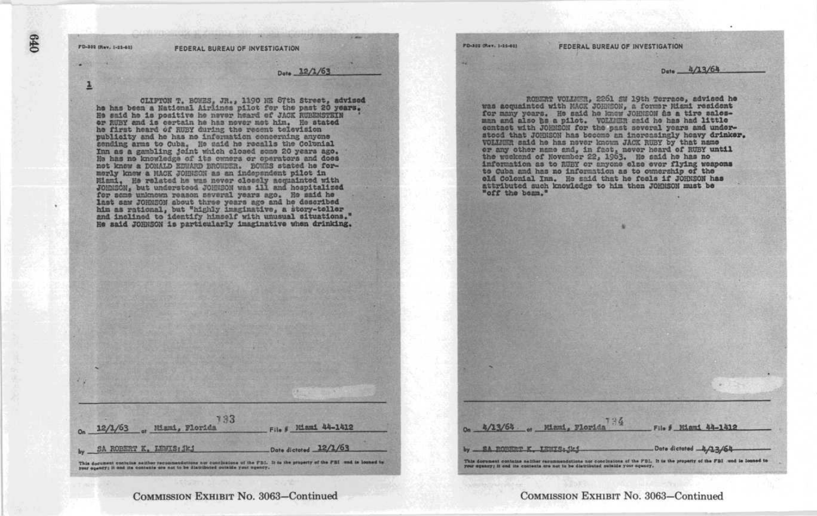**FD-302 (Rev. 1-11-60)** 

FEDERAL BUREAU OF INVESTIGATION

Date 12/1/63

079

CLIFTON T. BOWES, JR., 1190 NE 87th Street, advised<br>he has been a National Airlines pilot for the past 20 years. He said he is positive he never heard of JACK RUBENSTEIN or RUBY and is certain he has nover met him. He stated he first heard of RUBY during the resent television<br>publicity and he has no information concerning anyone sending arms to Cuba. He said he recalls the Colonial Inn as a gambling joint which closed some 20 years ago. He has no knowledge of its owners or operators and does not know a DONALD EDWARD BROWDER. BOWES stated he formorly knew a MACK JOHNSON as an independent pilot in Mismi, He related he was never closely acquainted with Johnson, but understeed Johnson research and in and hespitalized for sense and a series of  $r$  and  $\frac{1}{2}$ last caw JOHN50N about three years ago and he described him as rational, but "highly imaginative, a story-teller and inclined to identify himself with unusual situations." He said JOHNSON is particularly imaginative when drinking.

133 File # Miami 44-1412 12/1/63 . Mismi, Florida Date dictored 12/1/63 SA ROBERT K. LEWIS: JK. This decument contains neither recommendations are conclusions of the FBI. It is the property of the FBI and is looned to

COMMISSION EXHIBIT No. 3063-Continued

**POISSE (Rev. 1/26-40)** 

 $4/13/64$ 

by SA ROBERT K IRSTS. 4b4

Miami, Florid

FEDERAL BUREAU OF INVESTIGATION

Date 4/13/64

File # Miami 44-1412

Date dictated 4/13/64

ROBERT VOLLMER, 2261 SW 19th Terrace, advised he was acquainted with MACK JOHNSON, a former Missi resident<br>for many years. He said he know JOHNSON has a tire sales has ned little<br>name and also be a pilot. VOLMER said he has had little<br>contact with JOHNSON for the past se or any other name and, in fact, never heard of RUBY until the weekend of November 22, 1963. He said he has no information as to RUBY or anyone else ever flying weapons to Cuba and has no information as to ownership of the old Colonial Inn. He said that he feels if JOHNSON has attributed such knowledge to him then JOHNSON must be "off the beam."

COMMISSION EXHIBIT No. 3063-Continued

This decreasest contains as they recummendations are conclusions of the PDI, It is the property of the PDI and is looned to record to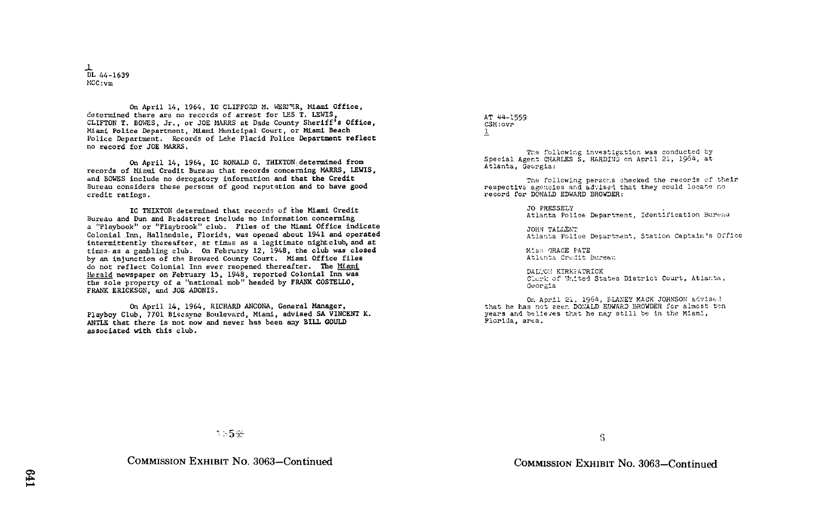$\frac{1}{\text{DL}}$  44-1639 MCC :vm

On April 14, 1964, IC CLIFFORD M. WERPER, Miami Office, determined there are no records of arrest for LES T. LEWIS, CLIFTON T. BOWES, Jr., or JOE MARRS at Dade County Sheriff's Office, Miami Police Department, Miami Municipal Court, or Miami Beach Police Department. Records of Lake Placid Police Department reflect no record for JOE MARRS .

On April 14, 1964, IC RONALD G. THIXTON determined from records of Miami Credit Bureau that records concerning MARRS, LEWIS, and BOWES include no derogatory information and that the Credit Bureau considers these persons of good reputation and to have good credit ratings .

IC THIXTON determined that records of the Miami Credit Bureau and Dun and Bradstreet include no information concerning a "Playbook" or "Playbrook" club. Files of the Miami Office indicate Colonial Inn, Hallandale, Florida, was opened about 1941 and operated intermittently thereafter, at times as a legitimate nightclub, and at times as a gambling club. On February 12, 1948, the club was closed by an injunction of the Broward County Court. Miami Office files do not reflect Colonial Inn ever reopened thereafter. The Miami Herald newspaper on February 15, 1948, reported Colonial Inn was the sole property of a "national mob" headed by FRANK COSTELLO, FRANK ERICKSON, and JOE ADONIS .

On April 14, 1964, RICHARD ANCONA, General Manager, Playboy Club, 7701 Biscayne Boulevard, Miami, advised SA VINCENT K. ANTLE that there is not now and never has been any BILL GOULD associated with this club.

AT 44-1559 CSH :ovr

The following investigation was conducted by Special Agent CHARLES S. HARDING on April 21, 1964, at Atlanta, Georgia:

The following persons checked the records of their respective agencies and advised that they could locate no record for DONALD EDWARD BROWDER :

JO PRESSELY<br>Atlanta Police Department, Identification Bureau

JOHN TALLENT Atlanta Police Department, Station Captain's Office

Miss GRACE PATE Atlanta Credit Bureau

DALTON KIRKFATRICK Clerk of United States District Court, Atlanta, Oaorgia

On April 21, 1964, BLANEY MACK JOHNSON advised that he has not seen DONALD EDWARD BROWDER for almost ten years and believes that he may still be in the Miami, Florida, area .

COMMISSION EXHIBIT No. 3063-Continued

5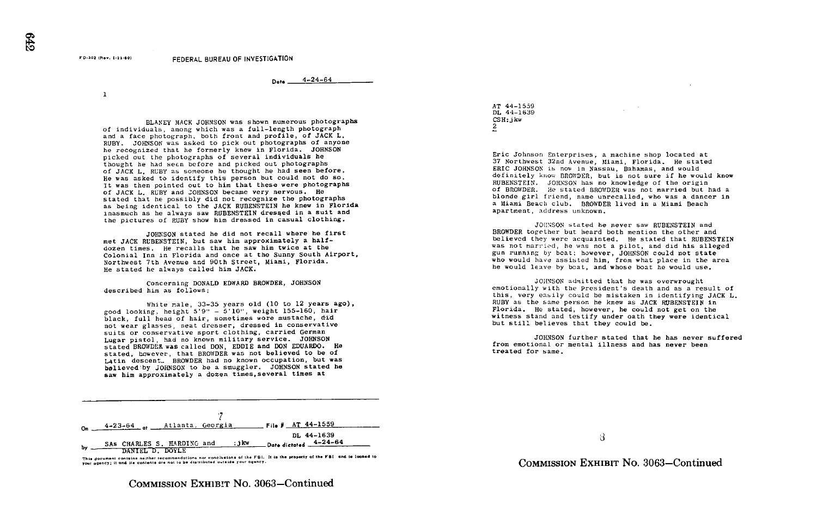$4 - 24 - 64$ 

 $\mathbf{1}$ 

FD-302 (Rev. 1-23-60)

BLANEY MACK JOHNSON was shown numerous photographs of individuals, among which was <sup>a</sup> full-length photograph and a face photograph, both front and profile, of JACK L. RUBY . JOHNSON was asked to pick out photographs of anyone he recognized that he formerly knew in Florida. JOHNSON picked out the photographs of several individuals he thought he had seen before and picked out photographs of JACK L. RUBY as someone he thought he had seen before . He was asked to identify this person but could not do so . It was then pointed out to him that these were photographs of JACK L. RUBY and JOHNSON became very nervous . He stated that he possibly did not recognize the photographs as being identical to the JACK RUBENSTEIN he knew in Florida inasmuch as he always saw RUBENSTEIN dressed in <sup>a</sup> suit and the pictures of RUBY show him dressed in casual clothing.

JOHNSON stated he did not recall where he first met JACK RUBENSTEIN, but saw him approximately a halfdozen times. He recalls that he saw him twice at the Colonial Inn in Florida and once at the Sunny South Airport, Northwest 7th Avenue and 90th Street, Miami, Florida. He stated he always called him JACK

Concerning DONALD EDWARD BROWDER, JOHNSON described him as follows :

White male, 33-35 years old (10 to 12 years ago), good looking. height 5'9" - 5'10", weight 155-160, hair black, full head of hair, sometimes wore mustache, did not wear glasses, neat dresser, dressed in conservative<br>suits or conservative sport clothing, carried German suits or conservative sport clothing, carried German<br>Lugar pistol, had no known military service. JOHNSON<br>Lugar program was called por sports and portante stated BROWDER was called DON, EDDIE and DON EDUARDO. He<br>stated, however, that BROWDER was not believed to be of Latin descent.. BROWDER had no known occupation, but was believed by JOHNSON to be a smuggler. JOHNSON stated he saw him approximately a dozen times, several times at

| o- | 4-23-64 at Atlanta, Georgia |      | $Fig. 44-1559$        |
|----|-----------------------------|------|-----------------------|
|    |                             |      | DL 44-1639            |
| Ъv | SAS CHARLES S. HARDING and  | ∶jkw | Date dictated 4-24-64 |
|    | DANIEL D. DOVLE             |      |                       |

This document contains neither recommendations nor conclusions of the FBI. It is the property of the FBI and is loaned to your agency; it and its contents are not to be distributed outside your agency.

COMMISSION EXHIBIT No. 3063-Continued

AT 44-1539  $\overline{D}$ L 44-1639 CSH:jkw 2

Eric Johnson Enterprises, a machine shop located at 37 Northwest 32nd Avenue, Miami, Florida . He stated ERIC JOHNSON is now in Nassau, Bahamas, and would definitely know BROWDER, but is not sure if he would know RUBENSTEIN. JOHNSON has no knowledge of the origin of BROWDER. He stated BROWDER was not married but had a blonde girl friend, name unrecalled, who was a dancer in a Miami Beach club, BROWDER lived in a Miami Beach apartment, address unknown.

JOHN'SON stated he never saw RUBENSTEIN and BROWDER together but heard both mention the other and believed they were acquainted. He stated that RUBENSTEIN was not married, he was not a pilot, and did his alleged gun running by beat; however, JOHNSON could not state who would have assisted him, from what place in the area he would leave by beat, and whose boat he would use.

jOHYSON admitted that he was overwrought emotionally with the president's death and as a result of this, very easily could be mistaken in identifying JACK L. this, very easily could be mistaken in identifying JACK L.<br>RUBY as the same person he knew as JACK RUBENSTEIN in<br>William Florida. He stated, however, he could not get on the witness stand and testify under oath they were identical but still believes that they could be .

JOHNSON further stated that he has never suffered from emotional or mental illness and has never been treated for same .

3